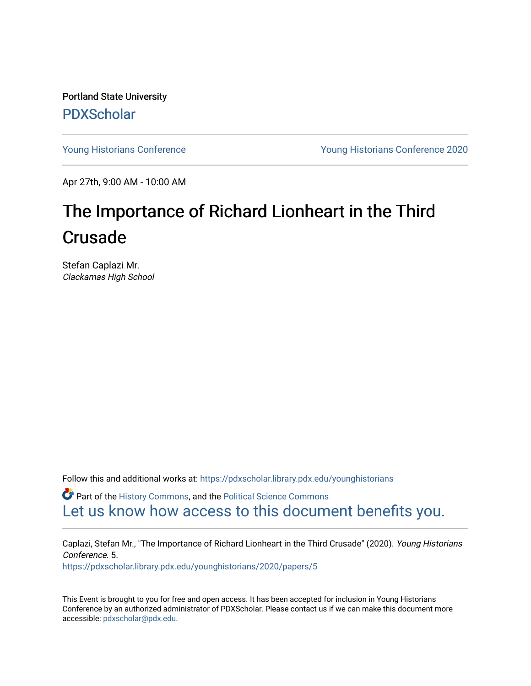Portland State University [PDXScholar](https://pdxscholar.library.pdx.edu/)

[Young Historians Conference](https://pdxscholar.library.pdx.edu/younghistorians) [Young Historians Conference 2020](https://pdxscholar.library.pdx.edu/younghistorians/2020) 

Apr 27th, 9:00 AM - 10:00 AM

## The Importance of Richard Lionheart in the Third Crusade

Stefan Caplazi Mr. Clackamas High School

Follow this and additional works at: [https://pdxscholar.library.pdx.edu/younghistorians](https://pdxscholar.library.pdx.edu/younghistorians?utm_source=pdxscholar.library.pdx.edu%2Fyounghistorians%2F2020%2Fpapers%2F5&utm_medium=PDF&utm_campaign=PDFCoverPages)

**P** Part of the [History Commons,](http://network.bepress.com/hgg/discipline/489?utm_source=pdxscholar.library.pdx.edu%2Fyounghistorians%2F2020%2Fpapers%2F5&utm_medium=PDF&utm_campaign=PDFCoverPages) and the [Political Science Commons](http://network.bepress.com/hgg/discipline/386?utm_source=pdxscholar.library.pdx.edu%2Fyounghistorians%2F2020%2Fpapers%2F5&utm_medium=PDF&utm_campaign=PDFCoverPages) [Let us know how access to this document benefits you.](http://library.pdx.edu/services/pdxscholar-services/pdxscholar-feedback/) 

Caplazi, Stefan Mr., "The Importance of Richard Lionheart in the Third Crusade" (2020). Young Historians Conference. 5. [https://pdxscholar.library.pdx.edu/younghistorians/2020/papers/5](https://pdxscholar.library.pdx.edu/younghistorians/2020/papers/5?utm_source=pdxscholar.library.pdx.edu%2Fyounghistorians%2F2020%2Fpapers%2F5&utm_medium=PDF&utm_campaign=PDFCoverPages)

This Event is brought to you for free and open access. It has been accepted for inclusion in Young Historians Conference by an authorized administrator of PDXScholar. Please contact us if we can make this document more accessible: [pdxscholar@pdx.edu.](mailto:pdxscholar@pdx.edu)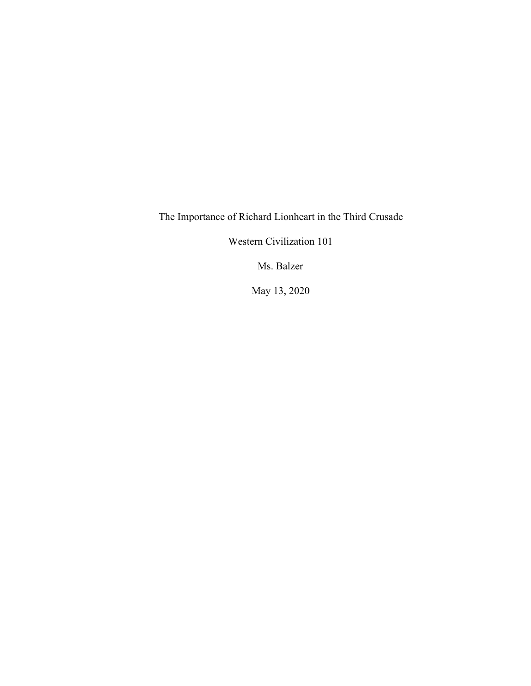The Importance of Richard Lionheart in the Third Crusade

Western Civilization 101

Ms. Balzer

May 13, 2020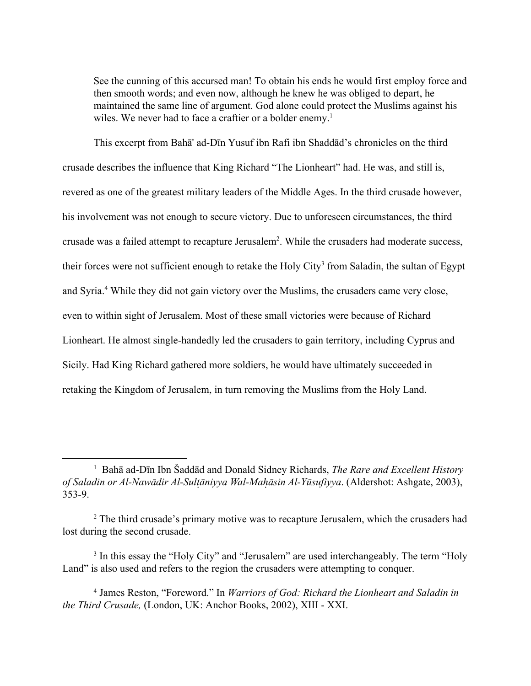See the cunning of this accursed man! To obtain his ends he would first employ force and then smooth words; and even now, although he knew he was obliged to depart, he maintained the same line of argument. God alone could protect the Muslims against his wiles. We never had to face a craftier or a bolder enemy.<sup>1</sup>

This excerpt from Bahā' ad-Dīn Yusuf ibn Rafi ibn Shaddād's chronicles on the third crusade describes the influence that King Richard "The Lionheart" had. He was, and still is, revered as one of the greatest military leaders of the Middle Ages. In the third crusade however, his involvement was not enough to secure victory. Due to unforeseen circumstances, the third crusade was a failed attempt to recapture Jerusalem<sup>2</sup>. While the crusaders had moderate success, their forces were not sufficient enough to retake the Holy City<sup>3</sup> from Saladin, the sultan of Egypt and Syria.<sup>4</sup> While they did not gain victory over the Muslims, the crusaders came very close, even to within sight of Jerusalem. Most of these small victories were because of Richard Lionheart. He almost single-handedly led the crusaders to gain territory, including Cyprus and Sicily. Had King Richard gathered more soldiers, he would have ultimately succeeded in retaking the Kingdom of Jerusalem, in turn removing the Muslims from the Holy Land.

<sup>1</sup> Bahā ad-Dīn Ibn Šaddād and Donald Sidney Richards, *The Rare and Excellent History of Saladin or Al-Nawādir Al-Sultāniyya W ̣ al-Mahāsin ̣ Al-Yūsufiyya* . (Aldershot: Ashgate, 2003), 353-9.

<sup>&</sup>lt;sup>2</sup> The third crusade's primary motive was to recapture Jerusalem, which the crusaders had lost during the second crusade.

<sup>&</sup>lt;sup>3</sup> In this essay the "Holy City" and "Jerusalem" are used interchangeably. The term "Holy Land" is also used and refers to the region the crusaders were attempting to conquer.

<sup>4</sup> James Reston, "Foreword." In *Warriors of God: Richard the Lionheart and Saladin in the Third Crusade,* (London, UK: Anchor Books, 2002), XIII - XXI.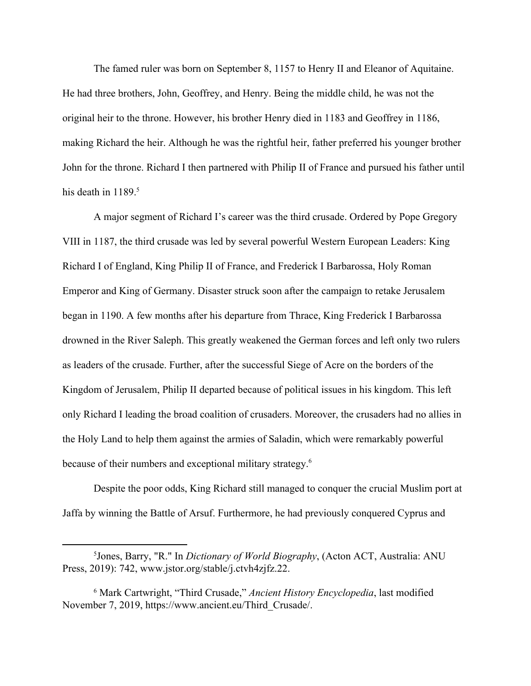The famed ruler was born on September 8, 1157 to Henry II and Eleanor of Aquitaine. He had three brothers, John, Geoffrey, and Henry. Being the middle child, he was not the original heir to the throne. However, his brother Henry died in 1183 and Geoffrey in 1186, making Richard the heir. Although he was the rightful heir, father preferred his younger brother John for the throne. Richard I then partnered with Philip II of France and pursued his father until his death in  $1189<sup>5</sup>$ 

A major segment of Richard I's career was the third crusade. Ordered by Pope Gregory VIII in 1187, the third crusade was led by several powerful Western European Leaders: King Richard I of England, King Philip II of France, and Frederick I Barbarossa, Holy Roman Emperor and King of Germany. Disaster struck soon after the campaign to retake Jerusalem began in 1190. A few months after his departure from Thrace, King Frederick I Barbarossa drowned in the River Saleph. This greatly weakened the German forces and left only two rulers as leaders of the crusade. Further, after the successful Siege of Acre on the borders of the Kingdom of Jerusalem, Philip II departed because of political issues in his kingdom. This left only Richard I leading the broad coalition of crusaders. Moreover, the crusaders had no allies in the Holy Land to help them against the armies of Saladin, which were remarkably powerful because of their numbers and exceptional military strategy.<sup>6</sup>

Despite the poor odds, King Richard still managed to conquer the crucial Muslim port at Jaffa by winning the Battle of Arsuf. Furthermore, he had previously conquered Cyprus and

<sup>5</sup>Jones, Barry, "R." In *Dictionary of World Biography*, (Acton ACT, Australia: ANU Press, 2019): 742, www.jstor.org/stable/j.ctvh4zjfz.22.

<sup>6</sup> Mark Cartwright, "Third Crusade," *Ancient History Encyclopedia*, last modified November 7, 2019, [https://www.ancient.eu/Third\\_Crusade/.](https://www.ancient.eu/Third_Crusade/)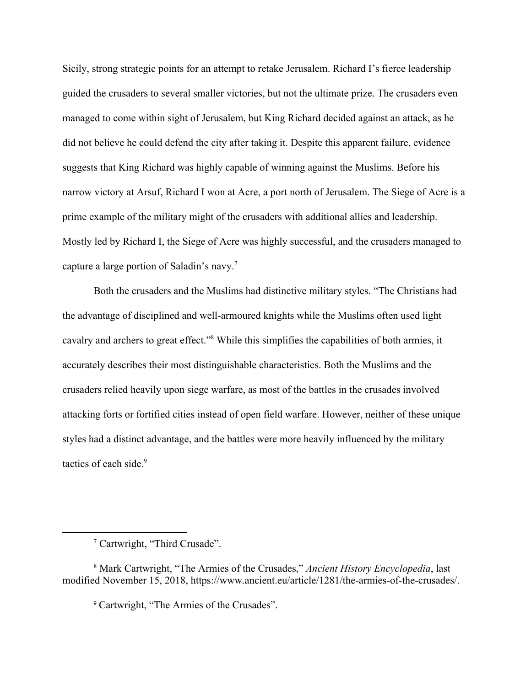Sicily, strong strategic points for an attempt to retake Jerusalem. Richard I's fierce leadership guided the crusaders to several smaller victories, but not the ultimate prize. The crusaders even managed to come within sight of Jerusalem, but King Richard decided against an attack, as he did not believe he could defend the city after taking it. Despite this apparent failure, evidence suggests that King Richard was highly capable of winning against the Muslims. Before his narrow victory at Arsuf, Richard I won at Acre, a port north of Jerusalem. The Siege of Acre is a prime example of the military might of the crusaders with additional allies and leadership. Mostly led by Richard I, the Siege of Acre was highly successful, and the crusaders managed to capture a large portion of Saladin's navy.<sup>7</sup>

Both the crusaders and the Muslims had distinctive military styles. "The Christians had the advantage of disciplined and well-armoured knights while the Muslims often used light cavalry and archers to great effect."<sup>8</sup> While this simplifies the capabilities of both armies, it accurately describes their most distinguishable characteristics. Both the Muslims and the crusaders relied heavily upon siege warfare, as most of the battles in the crusades involved attacking forts or fortified cities instead of open field warfare. However, neither of these unique styles had a distinct advantage, and the battles were more heavily influenced by the military tactics of each side.<sup>9</sup>

<sup>9</sup> Cartwright, "The Armies of the Crusades".

<sup>7</sup> Cartwright, "Third Crusade".

<sup>8</sup> Mark Cartwright, "The Armies of the Crusades," *Ancient History Encyclopedia*, last modified November 15, 2018, <https://www.ancient.eu/article/1281/the-armies-of-the-crusades/>.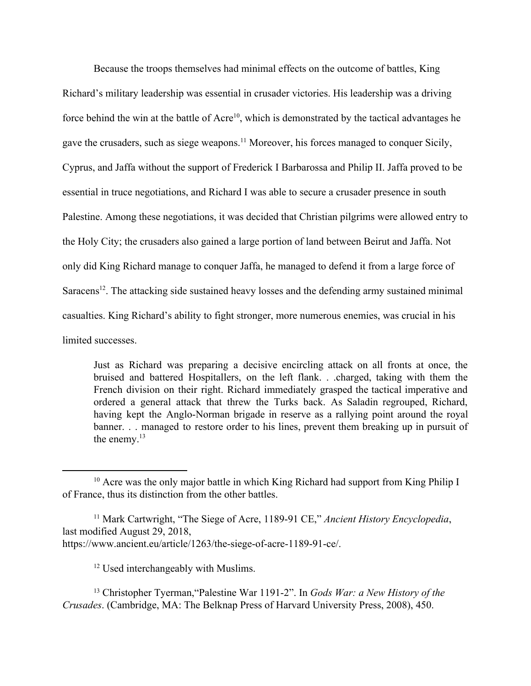Because the troops themselves had minimal effects on the outcome of battles, King Richard's military leadership was essential in crusader victories. His leadership was a driving force behind the win at the battle of  $Acre<sup>10</sup>$ , which is demonstrated by the tactical advantages he gave the crusaders, such as siege weapons.<sup>11</sup> Moreover, his forces managed to conquer Sicily, Cyprus, and Jaffa without the support of Frederick I Barbarossa and Philip II. Jaffa proved to be essential in truce negotiations, and Richard I was able to secure a crusader presence in south Palestine. Among these negotiations, it was decided that Christian pilgrims were allowed entry to the Holy City; the crusaders also gained a large portion of land between Beirut and Jaffa. Not only did King Richard manage to conquer Jaffa, he managed to defend it from a large force of Saracens<sup>12</sup>. The attacking side sustained heavy losses and the defending army sustained minimal casualties. King Richard's ability to fight stronger, more numerous enemies, was crucial in his limited successes.

Just as Richard was preparing a decisive encircling attack on all fronts at once, the bruised and battered Hospitallers, on the left flank. . .charged, taking with them the French division on their right. Richard immediately grasped the tactical imperative and ordered a general attack that threw the Turks back. As Saladin regrouped, Richard, having kept the Anglo-Norman brigade in reserve as a rallying point around the royal banner. . . managed to restore order to his lines, prevent them breaking up in pursuit of the enemy.<sup>13</sup>

12 Used interchangeably with Muslims.

<sup>13</sup> Christopher Tyerman,"Palestine War 1191-2". In *Gods War: a New History of the Crusades*. (Cambridge, MA: The Belknap Press of Harvard University Press, 2008), 450.

<sup>&</sup>lt;sup>10</sup> Acre was the only major battle in which King Richard had support from King Philip I of France, thus its distinction from the other battles.

<sup>&</sup>lt;sup>11</sup> Mark Cartwright, "The Siege of Acre, 1189-91 CE," Ancient History Encyclopedia, last modified August 29, 2018, [https://www.ancient.eu/article/1263/the-siege-of-acre-1189-91-ce/.](https://www.ancient.eu/article/1263/the-siege-of-acre-1189-91-ce/)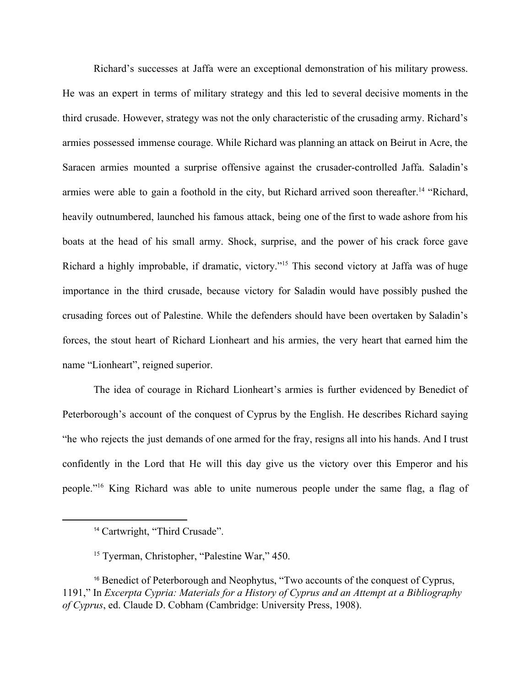Richard's successes at Jaffa were an exceptional demonstration of his military prowess. He was an expert in terms of military strategy and this led to several decisive moments in the third crusade. However, strategy was not the only characteristic of the crusading army. Richard's armies possessed immense courage. While Richard was planning an attack on Beirut in Acre, the Saracen armies mounted a surprise offensive against the crusader-controlled Jaffa. Saladin's armies were able to gain a foothold in the city, but Richard arrived soon thereafter.<sup>14</sup> "Richard, heavily outnumbered, launched his famous attack, being one of the first to wade ashore from his boats at the head of his small army. Shock, surprise, and the power of his crack force gave Richard a highly improbable, if dramatic, victory."<sup>15</sup> This second victory at Jaffa was of huge importance in the third crusade, because victory for Saladin would have possibly pushed the crusading forces out of Palestine. While the defenders should have been overtaken by Saladin's forces, the stout heart of Richard Lionheart and his armies, the very heart that earned him the name "Lionheart", reigned superior.

The idea of courage in Richard Lionheart's armies is further evidenced by Benedict of Peterborough's account of the conquest of Cyprus by the English. He describes Richard saying "he who rejects the just demands of one armed for the fray, resigns all into his hands. And I trust confidently in the Lord that He will this day give us the victory over this Emperor and his people."<sup>16</sup> King Richard was able to unite numerous people under the same flag, a flag of

<sup>&</sup>lt;sup>14</sup> Cartwright, "Third Crusade".

<sup>15</sup> Tyerman, Christopher, "Palestine War," 450.

<sup>&</sup>lt;sup>16</sup> Benedict of Peterborough and Neophytus, "Two accounts of the conquest of Cyprus, 1191," In *Excerpta Cypria: Materials for a History of Cyprus and an Attempt at a Bibliography of Cyprus*, ed. Claude D. Cobham (Cambridge: University Press, 1908).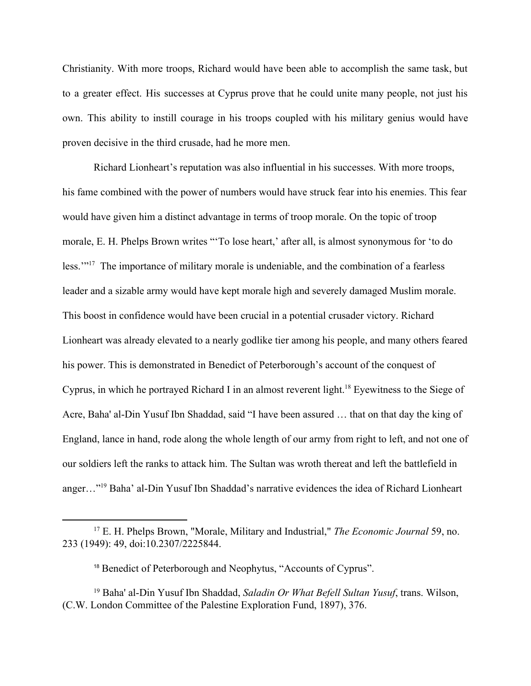Christianity. With more troops, Richard would have been able to accomplish the same task, but to a greater effect. His successes at Cyprus prove that he could unite many people, not just his own. This ability to instill courage in his troops coupled with his military genius would have proven decisive in the third crusade, had he more men.

Richard Lionheart's reputation was also influential in his successes. With more troops, his fame combined with the power of numbers would have struck fear into his enemies. This fear would have given him a distinct advantage in terms of troop morale. On the topic of troop morale, E. H. Phelps Brown writes "'To lose heart,' after all, is almost synonymous for 'to do less.'"<sup>17</sup> The importance of military morale is undeniable, and the combination of a fearless leader and a sizable army would have kept morale high and severely damaged Muslim morale. This boost in confidence would have been crucial in a potential crusader victory. Richard Lionheart was already elevated to a nearly godlike tier among his people, and many others feared his power. This is demonstrated in Benedict of Peterborough's account of the conquest of Cyprus, in which he portrayed Richard I in an almost reverent light.<sup>18</sup> Eyewitness to the Siege of Acre, Baha' al-Din Yusuf Ibn Shaddad, said "I have been assured … that on that day the king of England, lance in hand, rode along the whole length of our army from right to left, and not one of our soldiers left the ranks to attack him. The Sultan was wroth thereat and left the battlefield in anger..."<sup>19</sup> Baha' al-Din Yusuf Ibn Shaddad's narrative evidences the idea of Richard Lionheart

<sup>17</sup> E. H. Phelps Brown, "Morale, Military and Industrial," *The Economic Journal* 59, no. 233 (1949): 49, doi:10.2307/2225844.

<sup>18</sup> Benedict of Peterborough and Neophytus, "Accounts of Cyprus".

<sup>19</sup> Baha' al-Din Yusuf Ibn Shaddad, *[Saladin Or What Befell Sultan Yusuf](https://archive.org/stream/libraryofpalesti13paleuoft#page/376)*, trans. Wilson, (C.W. London Committee of the Palestine Exploration Fund, 1897), 376.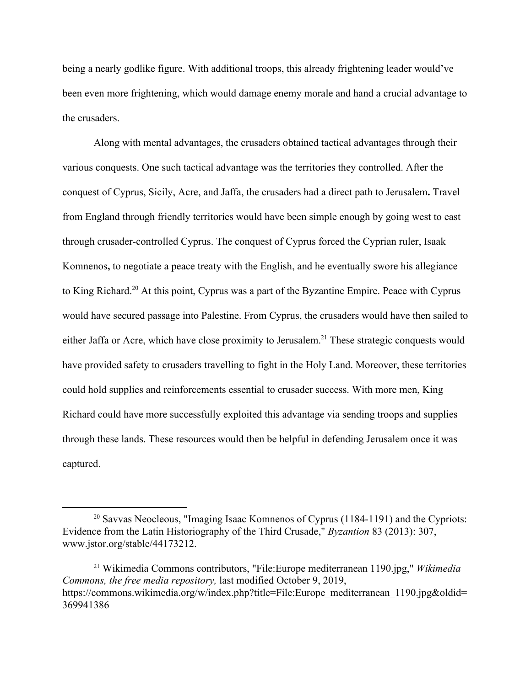being a nearly godlike figure. With additional troops, this already frightening leader would've been even more frightening, which would damage enemy morale and hand a crucial advantage to the crusaders.

Along with mental advantages, the crusaders obtained tactical advantages through their various conquests. One such tactical advantage was the territories they controlled. After the conquest of Cyprus, Sicily, Acre, and Jaffa, the crusaders had a direct path to Jerusalem**.** Travel from England through friendly territories would have been simple enough by going west to east through crusader-controlled Cyprus. The conquest of Cyprus forced the Cyprian ruler, Isaak Komnenos**,** to negotiate a peace treaty with the English, and he eventually swore his allegiance to King Richard.<sup>20</sup> At this point, Cyprus was a part of the Byzantine Empire. Peace with Cyprus would have secured passage into Palestine. From Cyprus, the crusaders would have then sailed to either Jaffa or Acre, which have close proximity to Jerusalem.<sup>21</sup> These strategic conquests would have provided safety to crusaders travelling to fight in the Holy Land. Moreover, these territories could hold supplies and reinforcements essential to crusader success. With more men, King Richard could have more successfully exploited this advantage via sending troops and supplies through these lands. These resources would then be helpful in defending Jerusalem once it was captured.

<sup>20</sup> Savvas Neocleous, "Imaging Isaac Komnenos of Cyprus (1184-1191) and the Cypriots: Evidence from the Latin Historiography of the Third Crusade," *Byzantion* 83 (2013): 307, [www.jstor.org/stable/44173212.](http://www.jstor.org/stable/44173212)

<sup>21</sup> Wikimedia Commons contributors, "File:Europe mediterranean 1190.jpg," *Wikimedia Commons, the free media repository,* last modified October 9, 2019, [https://commons.wikimedia.org/w/index.php?title=File:Europe\\_mediterranean\\_1190.jpg&oldid=](https://commons.wikimedia.org/w/index.php?title=File:Europe_mediterranean_1190.jpg&oldid=369941386) [369941386](https://commons.wikimedia.org/w/index.php?title=File:Europe_mediterranean_1190.jpg&oldid=369941386)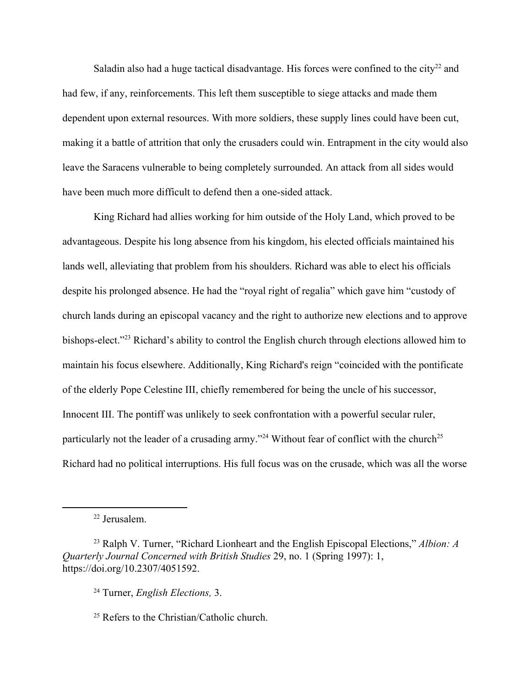Saladin also had a huge tactical disadvantage. His forces were confined to the city<sup>22</sup> and had few, if any, reinforcements. This left them susceptible to siege attacks and made them dependent upon external resources. With more soldiers, these supply lines could have been cut, making it a battle of attrition that only the crusaders could win. Entrapment in the city would also leave the Saracens vulnerable to being completely surrounded. An attack from all sides would have been much more difficult to defend then a one-sided attack.

King Richard had allies working for him outside of the Holy Land, which proved to be advantageous. Despite his long absence from his kingdom, his elected officials maintained his lands well, alleviating that problem from his shoulders. Richard was able to elect his officials despite his prolonged absence. He had the "royal right of regalia" which gave him "custody of church lands during an episcopal vacancy and the right to authorize new elections and to approve bishops-elect."<sup>23</sup> Richard's ability to control the English church through elections allowed him to maintain his focus elsewhere. Additionally, King Richard's reign "coincided with the pontificate of the elderly Pope Celestine III, chiefly remembered for being the uncle of his successor, Innocent III. The pontiff was unlikely to seek confrontation with a powerful secular ruler, particularly not the leader of a crusading army."<sup>24</sup> Without fear of conflict with the church<sup>25</sup> Richard had no political interruptions. His full focus was on the crusade, which was all the worse

<sup>22</sup> Jerusalem.

<sup>23</sup> Ralph V. Turner, "Richard Lionheart and the English Episcopal Elections," *Albion: A Quarterly Journal Concerned with British Studies* 29, no. 1 (Spring 1997): 1[,](https://doi.org/10.2307/4051592) <https://doi.org/10.2307/4051592>.

<sup>24</sup> Turner, *English Elections,* 3.

<sup>25</sup> Refers to the Christian/Catholic church.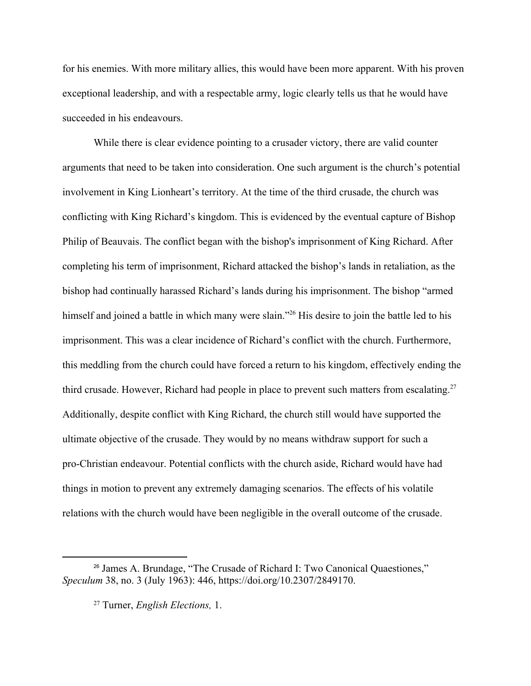for his enemies. With more military allies, this would have been more apparent. With his proven exceptional leadership, and with a respectable army, logic clearly tells us that he would have succeeded in his endeavours.

While there is clear evidence pointing to a crusader victory, there are valid counter arguments that need to be taken into consideration. One such argument is the church's potential involvement in King Lionheart's territory. At the time of the third crusade, the church was conflicting with King Richard's kingdom. This is evidenced by the eventual capture of Bishop Philip of Beauvais. The conflict began with the bishop's imprisonment of King Richard. After completing his term of imprisonment, Richard attacked the bishop's lands in retaliation, as the bishop had continually harassed Richard's lands during his imprisonment. The bishop "armed himself and joined a battle in which many were slain."<sup>26</sup> His desire to join the battle led to his imprisonment. This was a clear incidence of Richard's conflict with the church. Furthermore, this meddling from the church could have forced a return to his kingdom, effectively ending the third crusade. However, Richard had people in place to prevent such matters from escalating.<sup>27</sup> Additionally, despite conflict with King Richard, the church still would have supported the ultimate objective of the crusade. They would by no means withdraw support for such a pro-Christian endeavour. Potential conflicts with the church aside, Richard would have had things in motion to prevent any extremely damaging scenarios. The effects of his volatile relations with the church would have been negligible in the overall outcome of the crusade.

<sup>26</sup> James A. Brundage, "The Crusade of Richard I: Two Canonical Quaestiones," *Speculum* 38, no. 3 (July 1963): 446,<https://doi.org/10.2307/2849170>.

<sup>27</sup> Turner, *English Elections,* 1.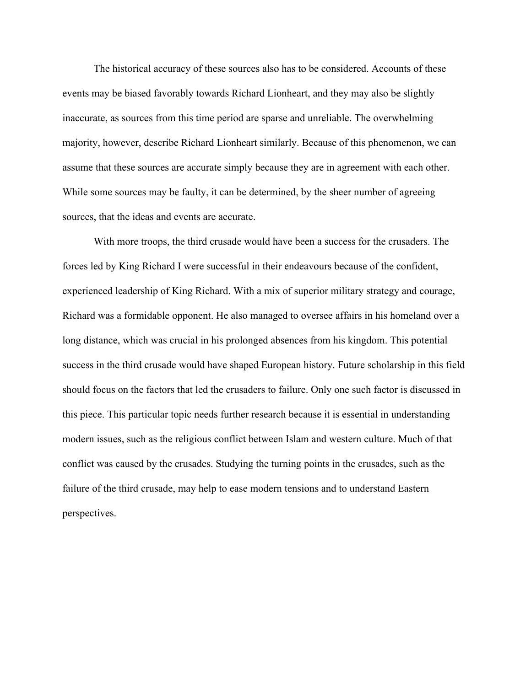The historical accuracy of these sources also has to be considered. Accounts of these events may be biased favorably towards Richard Lionheart, and they may also be slightly inaccurate, as sources from this time period are sparse and unreliable. The overwhelming majority, however, describe Richard Lionheart similarly. Because of this phenomenon, we can assume that these sources are accurate simply because they are in agreement with each other. While some sources may be faulty, it can be determined, by the sheer number of agreeing sources, that the ideas and events are accurate.

With more troops, the third crusade would have been a success for the crusaders. The forces led by King Richard I were successful in their endeavours because of the confident, experienced leadership of King Richard. With a mix of superior military strategy and courage, Richard was a formidable opponent. He also managed to oversee affairs in his homeland over a long distance, which was crucial in his prolonged absences from his kingdom. This potential success in the third crusade would have shaped European history. Future scholarship in this field should focus on the factors that led the crusaders to failure. Only one such factor is discussed in this piece. This particular topic needs further research because it is essential in understanding modern issues, such as the religious conflict between Islam and western culture. Much of that conflict was caused by the crusades. Studying the turning points in the crusades, such as the failure of the third crusade, may help to ease modern tensions and to understand Eastern perspectives.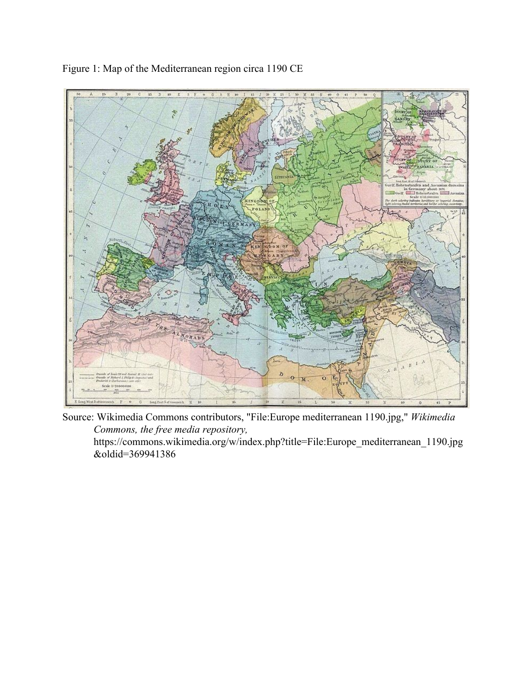

Figure 1: Map of the Mediterranean region circa 1190 CE

Source: Wikimedia Commons contributors, "File:Europe mediterranean 1190.jpg," *Wikimedia Commons, the free media repository,* [https://commons.wikimedia.org/w/index.php?title=File:Europe\\_mediterranean\\_1190.jpg](https://commons.wikimedia.org/w/index.php?title=File:Europe_mediterranean_1190.jpg&oldid=369941386)

[&oldid=369941386](https://commons.wikimedia.org/w/index.php?title=File:Europe_mediterranean_1190.jpg&oldid=369941386)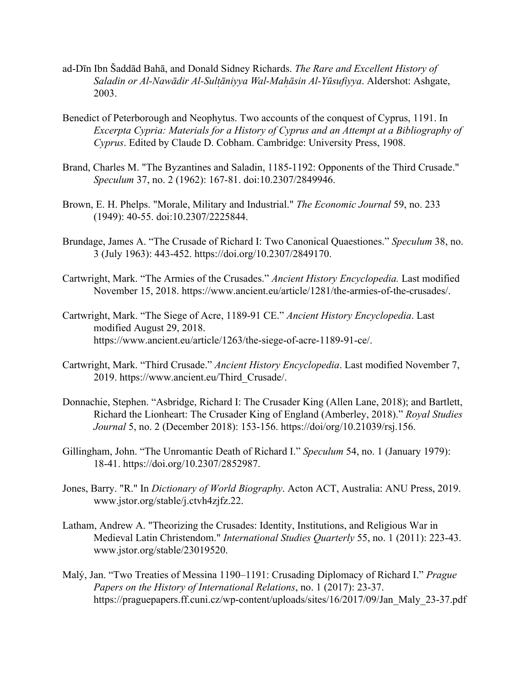- ad-Dīn Ibn Šaddād Bahā, and Donald Sidney Richards. *The Rare and Excellent History of Saladin or Al-Nawādir Al-Sultāniyya W ̣ al-Mahāsin ̣ Al-Yūsufiyya* . Aldershot: Ashgate, 2003.
- Benedict of Peterborough and Neophytus. Two accounts of the conquest of Cyprus, 1191. In *Excerpta Cypria: Materials for a History of Cyprus and an Attempt at a Bibliography of Cyprus*. Edited by Claude D. Cobham. Cambridge: University Press, 1908.
- Brand, Charles M. "The Byzantines and Saladin, 1185-1192: Opponents of the Third Crusade." *Speculum* 37, no. 2 (1962): 167-81. doi:10.2307/2849946.
- Brown, E. H. Phelps. "Morale, Military and Industrial." *The Economic Journal* 59, no. 233 (1949): 40-55. doi:10.2307/2225844.
- Brundage, James A. "The Crusade of Richard I: Two Canonical Quaestiones." *Speculum* 38, no. 3 (July 1963): 443-452[. https://doi.org/10.2307/2849170.](https://doi.org/10.2307/2849170)
- Cartwright, Mark. "The Armies of the Crusades." *Ancient History Encyclopedia.* Last modified November 15, 2018. [https://www.ancient.eu/article/1281/the-armies-of-the-crusades/.](https://www.ancient.eu/article/1281/the-armies-of-the-crusades/)
- Cartwright, Mark. "The Siege of Acre, 1189-91 CE." *Ancient History Encyclopedia*. Last modified August 29, 2018. [https://www.ancient.eu/article/1263/the-siege-of-acre-1189-91-ce/.](https://www.ancient.eu/article/1263/the-siege-of-acre-1189-91-ce/)
- Cartwright, Mark. "Third Crusade." *Ancient History Encyclopedia*. Last modified November 7, 2019. [https://www.ancient.eu/Third\\_Crusade/.](https://www.ancient.eu/Third_Crusade/)
- Donnachie, Stephen. "Asbridge, Richard I: The Crusader King (Allen Lane, 2018); and Bartlett, Richard the Lionheart: The Crusader King of England (Amberley, 2018)." *Royal Studies Journal* 5, no. 2 (December 2018): 153-156. [https://doi/org/10.21039/rsj.156.](https://doi/org/10.21039/rsj.156)
- Gillingham, John. "The Unromantic Death of Richard I." *Speculum* 54, no. 1 (January 1979): 18-41. <https://doi.org/10.2307/2852987>.
- Jones, Barry. "R." In *Dictionary of World Biography*. Acton ACT, Australia: ANU Press, 2019. [www.jstor.org/stable/j.ctvh4zjfz.22.](http://www.jstor.org/stable/j.ctvh4zjfz.22)
- Latham, Andrew A. "Theorizing the Crusades: Identity, Institutions, and Religious War in Medieval Latin Christendom." *International Studies Quarterly* 55, no. 1 (2011): 223-43. [www.jstor.org/stable/23019520.](http://www.jstor.org/stable/23019520)
- Malý, Jan. ["Two Treaties of Messina 1190–1191: Crusading Diplomacy of Richard I](https://search.library.pdx.edu/primo-explore/fulldisplay?docid=TN_doaj_soai_doaj_org_article_142ad614610d4c6b82fe9a7dc42f6d43&context=PC&vid=PSU&lang=en_US&search_scope=all&adaptor=primo_central_multiple_fe&tab=default_tab&query=title,contains,richard%20I,AND&mode=advanced&offset=0)." *Prague Papers on the History of International Relations*, no. 1 (2017): 23-37. [https://praguepapers.ff.cuni.cz/wp-content/uploads/sites/16/2017/09/Jan\\_Maly\\_23-37.pdf](https://praguepapers.ff.cuni.cz/wp-content/uploads/sites/16/2017/09/Jan_Maly_23-37.pdf)